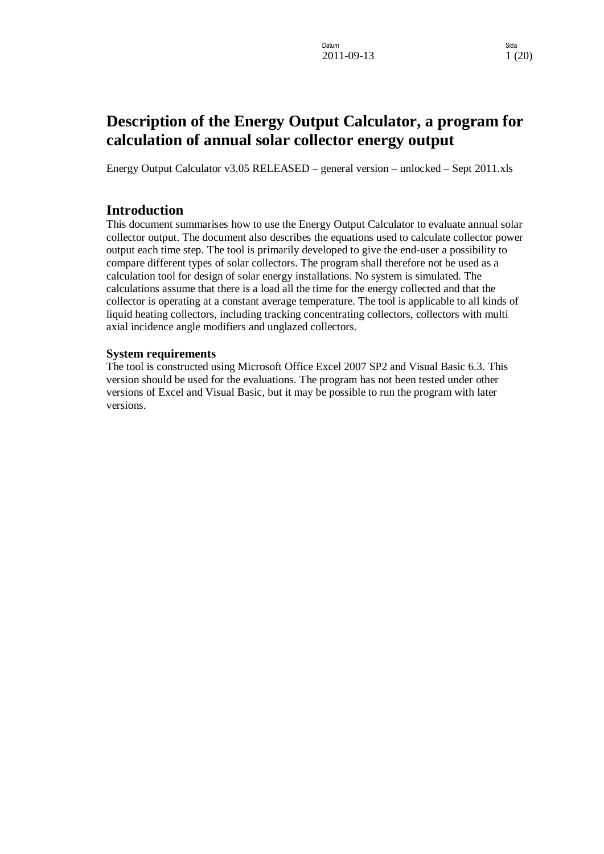# **Description of the Energy Output Calculator, a program for calculation of annual solar collector energy output**

Energy Output Calculator v3.05 RELEASED – general version – unlocked – Sept 2011.xls

### <span id="page-0-0"></span>**Introduction**

This document summarises how to use the Energy Output Calculator to evaluate annual solar collector output. The document also describes the equations used to calculate collector power output each time step. The tool is primarily developed to give the end-user a possibility to compare different types of solar collectors. The program shall therefore not be used as a calculation tool for design of solar energy installations. No system is simulated. The calculations assume that there is a load all the time for the energy collected and that the collector is operating at a constant average temperature. The tool is applicable to all kinds of liquid heating collectors, including tracking concentrating collectors, collectors with multi axial incidence angle modifiers and unglazed collectors.

#### <span id="page-0-1"></span>**System requirements**

The tool is constructed using Microsoft Office Excel 2007 SP2 and Visual Basic 6.3. This version should be used for the evaluations. The program has not been tested under other versions of Excel and Visual Basic, but it may be possible to run the program with later versions.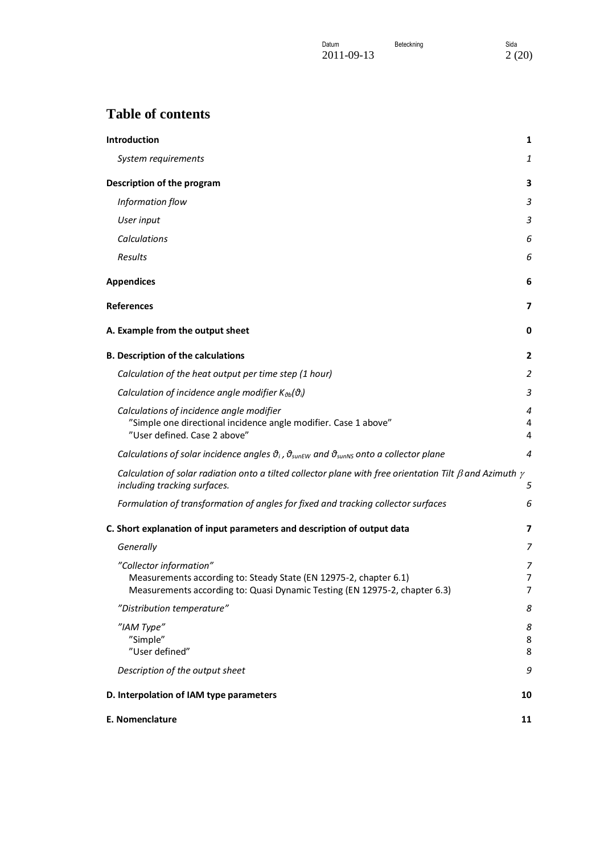| Datum      | Beteckning | Sida  |
|------------|------------|-------|
| 2011-09-13 |            | 2(20) |

# **Table of contents**

| <b>Introduction</b>                                                                                                                                  | 1           |
|------------------------------------------------------------------------------------------------------------------------------------------------------|-------------|
| System requirements                                                                                                                                  | 1           |
| Description of the program                                                                                                                           | 3           |
| Information flow                                                                                                                                     | 3           |
| User input                                                                                                                                           | 3           |
| Calculations                                                                                                                                         | 6           |
| Results                                                                                                                                              | 6           |
| <b>Appendices</b>                                                                                                                                    | 6           |
| <b>References</b>                                                                                                                                    | 7           |
| A. Example from the output sheet                                                                                                                     | 0           |
| <b>B. Description of the calculations</b>                                                                                                            | 2           |
| Calculation of the heat output per time step (1 hour)                                                                                                | 2           |
| Calculation of incidence angle modifier $K_{\vartheta b}(\vartheta_i)$                                                                               | 3           |
| Calculations of incidence angle modifier<br>"Simple one directional incidence angle modifier. Case 1 above"<br>"User defined. Case 2 above"          | 4<br>4<br>4 |
| Calculations of solar incidence angles $\vartheta_i$ , $\vartheta_{\text{sunEW}}$ and $\vartheta_{\text{sunNS}}$ onto a collector plane              | 4           |
| Calculation of solar radiation onto a tilted collector plane with free orientation Tilt $\beta$ and Azimuth $\gamma$<br>including tracking surfaces. | 5           |
| Formulation of transformation of angles for fixed and tracking collector surfaces                                                                    | 6           |
| C. Short explanation of input parameters and description of output data                                                                              | 7           |
| Generally                                                                                                                                            | 7           |
| "Collector information"                                                                                                                              | 7           |
| Measurements according to: Steady State (EN 12975-2, chapter 6.1)                                                                                    | 7           |
| Measurements according to: Quasi Dynamic Testing (EN 12975-2, chapter 6.3)<br>"Distribution temperature"                                             | 7<br>8      |
| "IAM Type"                                                                                                                                           |             |
| "Simple"                                                                                                                                             | 8<br>8      |
| "User defined"                                                                                                                                       | 8           |
| Description of the output sheet                                                                                                                      | 9           |
| D. Interpolation of IAM type parameters                                                                                                              | 10          |
| E. Nomenclature                                                                                                                                      | 11          |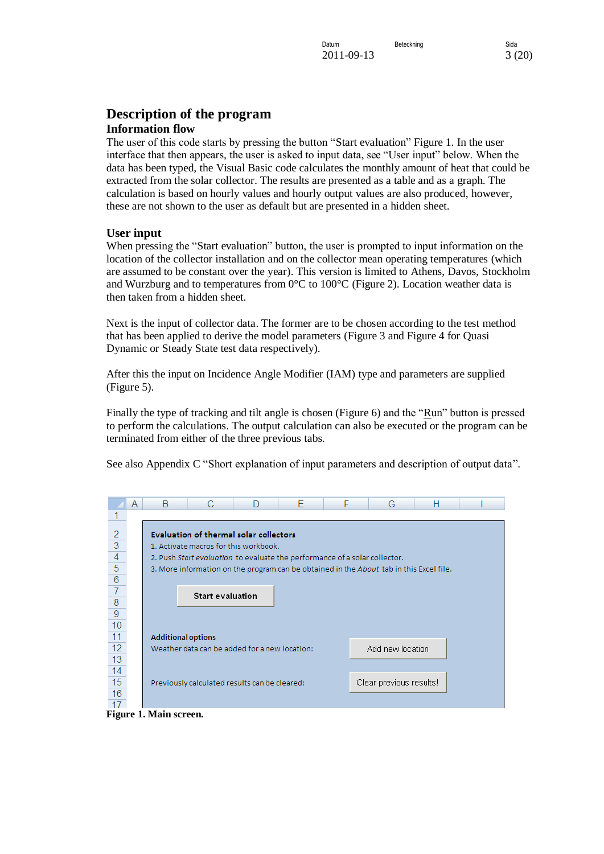### <span id="page-2-0"></span>**Description of the program Information flow**

<span id="page-2-1"></span>The user of this code starts by pressing the button "Start evaluation" [Figure 1.](#page-2-3) In the user interface that then appears, the user is asked to input data, see "User input" below. When the data has been typed, the Visual Basic code calculates the monthly amount of heat that could be extracted from the solar collector. The results are presented as a table and as a graph. The calculation is based on hourly values and hourly output values are also produced, however, these are not shown to the user as default but are presented in a hidden sheet.

### <span id="page-2-2"></span>**User input**

When pressing the "Start evaluation" button, the user is prompted to input information on the location of the collector installation and on the collector mean operating temperatures (which are assumed to be constant over the year). This version is limited to Athens, Davos, Stockholm and Wurzburg and to temperatures from  $0^{\circ}$ C to  $100^{\circ}$ C [\(Figure 2\)](#page-3-0). Location weather data is then taken from a hidden sheet.

Next is the input of collector data. The former are to be chosen according to the test method that has been applied to derive the model parameters [\(Figure 3](#page-3-1) and [Figure 4](#page-3-2) for Quasi Dynamic or Steady State test data respectively).

After this the input on Incidence Angle Modifier (IAM) type and parameters are supplied [\(Figure 5\)](#page-4-0).

Finally the type of tracking and tilt angle is chosen [\(Figure 6\)](#page-5-3) and the "Run" button is pressed to perform the calculations. The output calculation can also be executed or the program can be terminated from either of the three previous tabs.

See also Appendix C "Short explanation of input parameters and description of output data".

|                | A | R                         |                                                                            | F | G                                                                                       | н |  |
|----------------|---|---------------------------|----------------------------------------------------------------------------|---|-----------------------------------------------------------------------------------------|---|--|
|                |   |                           |                                                                            |   |                                                                                         |   |  |
| 2              |   |                           | Evaluation of thermal solar collectors                                     |   |                                                                                         |   |  |
| 3              |   |                           | 1. Activate macros for this workbook.                                      |   |                                                                                         |   |  |
| $\overline{4}$ |   |                           | 2. Push Start evaluation to evaluate the performance of a solar collector. |   |                                                                                         |   |  |
| 5              |   |                           |                                                                            |   | 3. More information on the program can be obtained in the About tab in this Excel file. |   |  |
| $\overline{6}$ |   |                           |                                                                            |   |                                                                                         |   |  |
|                |   |                           | <b>Start evaluation</b>                                                    |   |                                                                                         |   |  |
| 8              |   |                           |                                                                            |   |                                                                                         |   |  |
| 9              |   |                           |                                                                            |   |                                                                                         |   |  |
| 10             |   |                           |                                                                            |   |                                                                                         |   |  |
| 11             |   | <b>Additional options</b> |                                                                            |   |                                                                                         |   |  |
| 12             |   |                           | Weather data can be added for a new location:                              |   | Add new location                                                                        |   |  |
| 13             |   |                           |                                                                            |   |                                                                                         |   |  |
| 14             |   |                           |                                                                            |   |                                                                                         |   |  |
| 15             |   |                           | Previously calculated results can be cleared:                              |   | Clear previous results!                                                                 |   |  |
| 16             |   |                           |                                                                            |   |                                                                                         |   |  |
| 17             |   |                           |                                                                            |   |                                                                                         |   |  |
|                |   | Figure 1 Moin coroon      |                                                                            |   |                                                                                         |   |  |

<span id="page-2-3"></span>**Figure 1. Main screen.**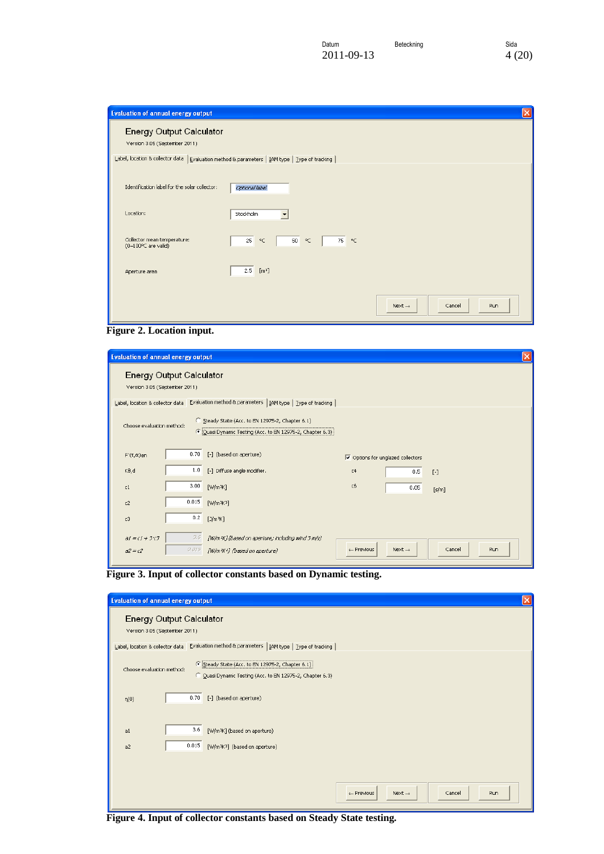| <b>Evaluation of annual energy output</b>                                                                                                                           | $\overline{\mathsf{x}}$                                              |
|---------------------------------------------------------------------------------------------------------------------------------------------------------------------|----------------------------------------------------------------------|
| <b>Energy Output Calculator</b><br>Version 3.05 (September 2011)<br>Label, location & collector data   Evaluation method & parameters   IAM type   Type of tracking |                                                                      |
|                                                                                                                                                                     |                                                                      |
| Identification label for the solar collector:                                                                                                                       | Optional label                                                       |
| Location:                                                                                                                                                           | Stockholm                                                            |
| Collector mean temperature:<br>$(0-100^{\circ}$ C are valid)                                                                                                        | 75<br>25<br>$^{\circ}$ C<br>$\circ \subset$<br>50<br>$\circ \subset$ |
| Aperture area                                                                                                                                                       | 2.5<br>[m <sup>2</sup> ]                                             |
|                                                                                                                                                                     | Run<br>Cancel<br>Next $\rightarrow$                                  |

<span id="page-3-0"></span>**Figure 2. Location input.**

| <b>Evaluation of annual energy output</b>                                                              |                                                                                                               |                       |                                                     |               | $\times$ |
|--------------------------------------------------------------------------------------------------------|---------------------------------------------------------------------------------------------------------------|-----------------------|-----------------------------------------------------|---------------|----------|
| <b>Energy Output Calculator</b><br>Version 3.05 (September 2011)                                       |                                                                                                               |                       |                                                     |               |          |
| Label, location & collector data                                                                       | Evaluation method & parameters   IAM type   Iype of tracking                                                  |                       |                                                     |               |          |
| Choose evaluation method:                                                                              | C Steady State (Acc. to EN 12975-2, Chapter 6.1)<br>C Quasi Dynamic Testing (Acc. to EN 12975-2, Chapter 6.3) |                       |                                                     |               |          |
| 0.70<br>[-] (based on aperture)<br>$F'(\tau,\alpha)$ en                                                |                                                                                                               |                       | $\overline{\nabla}$ Options for unglazed collectors |               |          |
| 1.0<br>[-] Diffuse angle modifier.<br>$K\theta$ , d                                                    |                                                                                                               | c4                    | 0.5                                                 | $[\cdot]$     |          |
| 3.00<br>$[W/m^2K]$<br>C1                                                                               |                                                                                                               | c6                    | 0.05                                                | [s/m]         |          |
| 0.015<br>$[W/m^2K^2]$<br>c2                                                                            |                                                                                                               |                       |                                                     |               |          |
| 0.2<br>[J/m <sup>3</sup> K]<br>c3                                                                      |                                                                                                               |                       |                                                     |               |          |
| 3,6<br>$a1 = c1 + 3c3$<br>0.015<br>[W/m <sup>2</sup> K <sup>2</sup> ] (based on aperture)<br>$d2 = c2$ | [W/m <sup>2</sup> K] (based on aperture; including wind 3 m/s)                                                | $\leftarrow$ Previous | Next $\rightarrow$                                  | Run<br>Cancel |          |

<span id="page-3-1"></span>**Figure 3. Input of collector constants based on Dynamic testing.**

| <b>Evaluation of annual energy output</b>                                                                                                                                                                                                        | × |
|--------------------------------------------------------------------------------------------------------------------------------------------------------------------------------------------------------------------------------------------------|---|
| <b>Energy Output Calculator</b><br>Version 3.05 (September 2011)                                                                                                                                                                                 |   |
| Evaluation method & parameters   IAM type   Iype of tracking  <br>Label, location & collector data<br>C Steady State (Acc. to EN 12975-2, Chapter 6.1)<br>Choose evaluation method:<br>C Quasi Dynamic Testing (Acc. to EN 12975-2, Chapter 6.3) |   |
| 0.70<br>[-] (based on aperture)<br>$\eta(0)$                                                                                                                                                                                                     |   |
| 3.6<br>[W/m <sup>2</sup> K] (based on aperture)<br>a1                                                                                                                                                                                            |   |
| 0.015<br>[W/m <sup>2</sup> K <sup>2</sup> ] (based on aperture)<br>a2                                                                                                                                                                            |   |
|                                                                                                                                                                                                                                                  |   |
| $\leftarrow$ Previous<br>Next $\rightarrow$<br>Cancel<br>Run                                                                                                                                                                                     |   |

<span id="page-3-2"></span>**Figure 4. Input of collector constants based on Steady State testing.**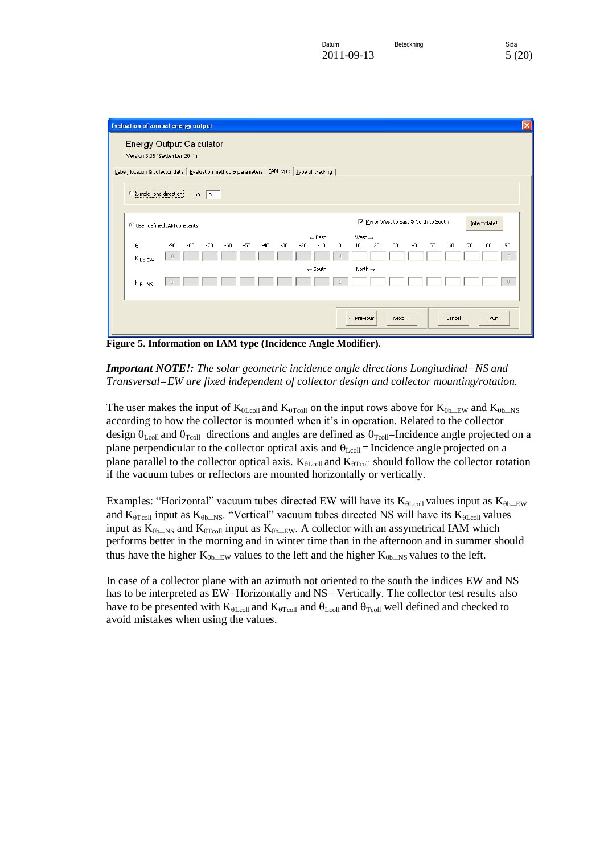| <b>Evaluation of annual energy output</b>                                                                                                                     | $ \mathsf{x} $ |
|---------------------------------------------------------------------------------------------------------------------------------------------------------------|----------------|
| <b>Energy Output Calculator</b>                                                                                                                               |                |
| Version 3.05 (September 2011)                                                                                                                                 |                |
| Label, location & collector data   Evaluation method & parameters   IAM type   Type of tracking                                                               |                |
| Simple, one direction<br>b0 $\Big $ 0.1                                                                                                                       |                |
|                                                                                                                                                               |                |
| Mirror West to East & North to South<br>Interpolate!<br><b><i>C</i></b> User defined IAM constants                                                            |                |
| $\leftarrow$ East<br>West $\rightarrow$                                                                                                                       |                |
| $-90$<br>$-50$<br>$-10$<br>20<br>30<br>40<br>50<br>60<br>80<br>θ<br>$-80$<br>$-70$<br>$-60$<br>$-30$<br>$-20$<br>10<br>70<br>90<br>$-40$<br>$\mathbf{0}$<br>n |                |
| $K_{\theta b}$ <sub>EW</sub><br>$\leftarrow$ South<br>North $\rightarrow$                                                                                     |                |
| $\begin{array}{c} \square \end{array}$<br>$K_{\theta b\text{ NS}}$                                                                                            |                |
|                                                                                                                                                               |                |
|                                                                                                                                                               |                |
| Cancel<br>Run<br>Next $\rightarrow$<br>$\leftarrow$ Previous                                                                                                  |                |

<span id="page-4-0"></span>**Figure 5. Information on IAM type (Incidence Angle Modifier).**

### *Important NOTE!: The solar geometric incidence angle directions Longitudinal=NS and Transversal=EW are fixed independent of collector design and collector mounting/rotation.*

The user makes the input of  $K_{\theta$ Lcoll and  $K_{\theta$ Tcoll on the input rows above for  $K_{\theta$ b<sub>LEW</sub> and  $K_{\theta$ b<sub>LNS</sub> according to how the collector is mounted when it's in operation. Related to the collector design  $\theta_{\text{Lcoll}}$  and  $\theta_{\text{Tcoll}}$  directions and angles are defined as  $\theta_{\text{Tcoll}}$ =Incidence angle projected on a plane perpendicular to the collector optical axis and  $\theta_{\text{Lcoll}}$  = Incidence angle projected on a plane parallel to the collector optical axis.  $K_{\theta$ Loll and  $K_{\theta$ Toll should follow the collector rotation if the vacuum tubes or reflectors are mounted horizontally or vertically.

Examples: "Horizontal" vacuum tubes directed EW will have its  $K_{\theta$ Lcoll values input as  $K_{\theta$ b
EW and  $K_{\theta$ Tcoll input as  $K_{\theta$ b Ns. "Vertical" vacuum tubes directed NS will have its  $K_{\theta$ Lcoll values input as  $K_{\theta b\_{NS}}$  and  $K_{\theta Tcoll}$  input as  $K_{\theta b\_{EW}}$ . A collector with an assymetrical IAM which performs better in the morning and in winter time than in the afternoon and in summer should thus have the higher  $K_{\theta b\_EW}$  values to the left and the higher  $K_{\theta b\_NS}$  values to the left.

In case of a collector plane with an azimuth not oriented to the south the indices EW and NS has to be interpreted as EW=Horizontally and NS= Vertically. The collector test results also have to be presented with  $K_{\theta$ Lcoll and  $K_{\theta$ Tcoll and  $\theta$ <sub>Lcoll</sub> and  $\theta$ <sub>Tcoll</sub> well defined and checked to avoid mistakes when using the values.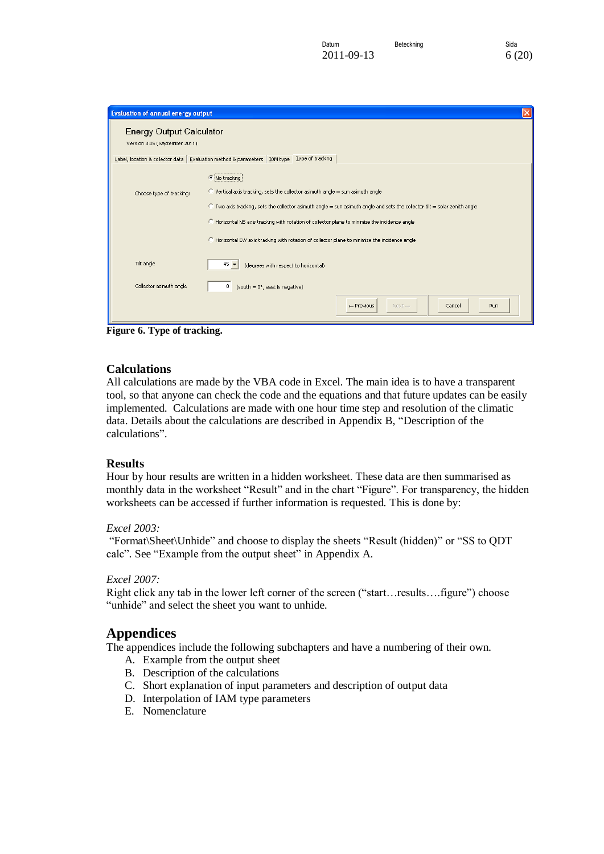| <b>Evaluation of annual energy output</b>                        | $\times$                                                                                                                                                                                                                                                                                                                                                                                                                                   |
|------------------------------------------------------------------|--------------------------------------------------------------------------------------------------------------------------------------------------------------------------------------------------------------------------------------------------------------------------------------------------------------------------------------------------------------------------------------------------------------------------------------------|
| <b>Energy Output Calculator</b><br>Version 3.05 (September 2011) |                                                                                                                                                                                                                                                                                                                                                                                                                                            |
|                                                                  | Label, location & collector data   Evaluation method & parameters   IAM type   Iype of tracking                                                                                                                                                                                                                                                                                                                                            |
| Choose type of tracking:                                         | (C No tracking<br>$\degree$ Vertical axis tracking, sets the collector asimuth angle = sun asimuth angle<br>C Two axis tracking, sets the collector asimuth angle = sun asimuth angle and sets the collector tilt = solar zenith angle<br>C Horizontal NS axis tracking with rotation of collector plane to minimize the incidence angle<br>C Horizontal EW axis tracking with rotation of collector plane to minimize the incidence angle |
| Tilt angle                                                       | $45 -$<br>(degrees with respect to horizontal)                                                                                                                                                                                                                                                                                                                                                                                             |
| Collector azimuth angle                                          | $0$ (south = $0^\circ$ , east is negative)                                                                                                                                                                                                                                                                                                                                                                                                 |
|                                                                  | Run<br>$\leftarrow$ Previous<br>Next $\rightarrow$<br>Cancel                                                                                                                                                                                                                                                                                                                                                                               |

<span id="page-5-3"></span>**Figure 6. Type of tracking.**

### <span id="page-5-0"></span>**Calculations**

All calculations are made by the VBA code in Excel. The main idea is to have a transparent tool, so that anyone can check the code and the equations and that future updates can be easily implemented. Calculations are made with one hour time step and resolution of the climatic data. Details about the calculations are described in Appendix B, "Description of the calculations".

#### <span id="page-5-1"></span>**Results**

Hour by hour results are written in a hidden worksheet. These data are then summarised as monthly data in the worksheet "Result" and in the chart "Figure". For transparency, the hidden worksheets can be accessed if further information is requested. This is done by:

#### *Excel 2003:*

"Format\Sheet\Unhide" and choose to display the sheets "Result (hidden)" or "SS to QDT calc". See "Example from the output sheet" in Appendix A.

#### *Excel 2007:*

Right click any tab in the lower left corner of the screen ("start…results….figure") choose "unhide" and select the sheet you want to unhide.

### <span id="page-5-2"></span>**Appendices**

The appendices include the following subchapters and have a numbering of their own.

- A. Example from the output sheet
- B. Description of the calculations
- C. Short explanation of input parameters and description of output data
- D. Interpolation of IAM type parameters
- E. Nomenclature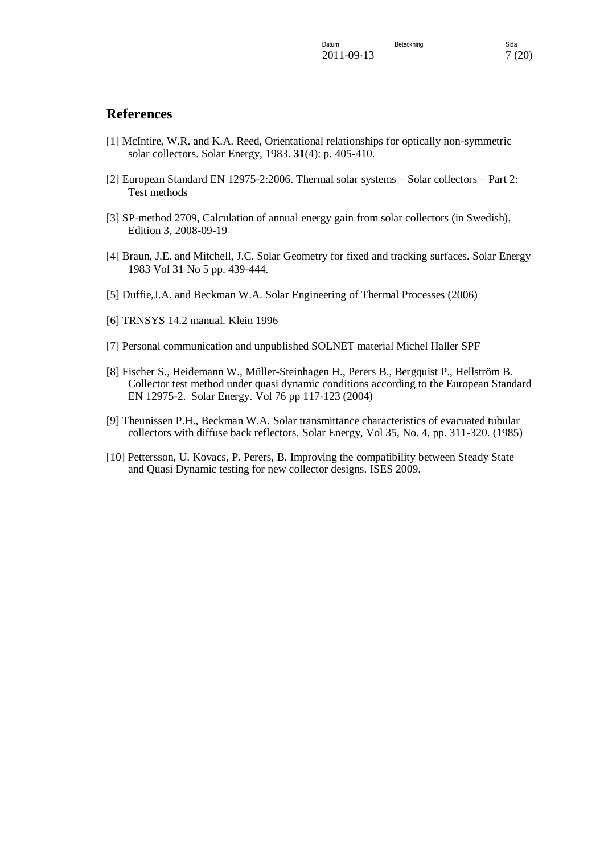### <span id="page-6-0"></span>**References**

- [1] McIntire, W.R. and K.A. Reed, Orientational relationships for optically non-symmetric solar collectors. Solar Energy, 1983. **31**(4): p. 405-410.
- [2] European Standard EN 12975-2:2006. Thermal solar systems Solar collectors Part 2: Test methods
- [3] SP-method 2709, Calculation of annual energy gain from solar collectors (in Swedish), Edition 3, 2008-09-19
- [4] Braun, J.E. and Mitchell, J.C. Solar Geometry for fixed and tracking surfaces. Solar Energy 1983 Vol 31 No 5 pp. 439-444.
- [5] Duffie,J.A. and Beckman W.A. Solar Engineering of Thermal Processes (2006)
- [6] TRNSYS 14.2 manual. Klein 1996
- [7] Personal communication and unpublished SOLNET material Michel Haller SPF
- [8] Fischer S., Heidemann W., Müller-Steinhagen H., Perers B., Bergquist P., Hellström B. Collector test method under quasi dynamic conditions according to the European Standard EN 12975-2. Solar Energy. Vol 76 pp 117-123 (2004)
- [9] Theunissen P.H., Beckman W.A. Solar transmittance characteristics of evacuated tubular collectors with diffuse back reflectors. Solar Energy, Vol 35, No. 4, pp. 311-320. (1985)
- [10] Pettersson, U. Kovacs, P. Perers, B. Improving the compatibility between Steady State and Quasi Dynamic testing for new collector designs. ISES 2009.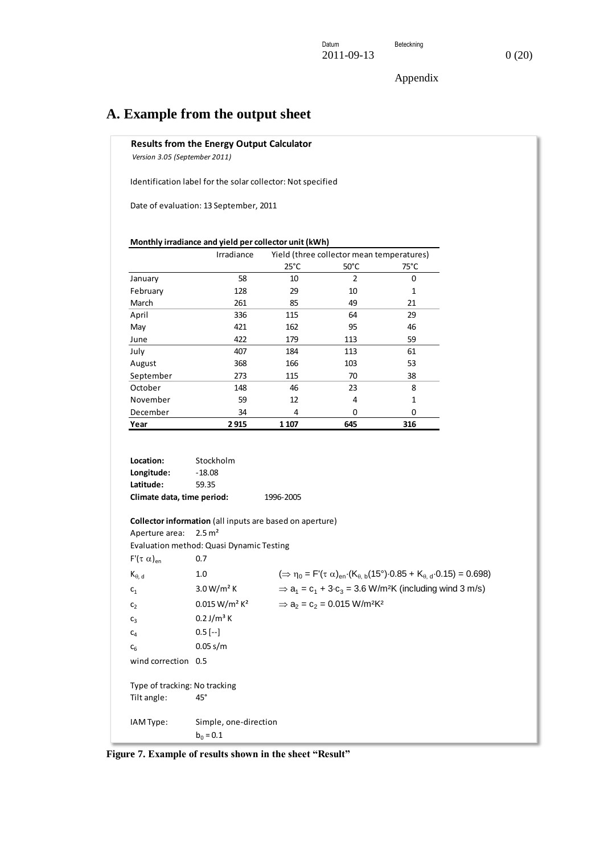## <span id="page-7-0"></span>**A. Example from the output sheet**

**Results from the Energy Output Calculator**

 *Version 3.05 (September 2011)*

Identification label for the solar collector: Not specified

Date of evaluation: 13 September, 2011

|           | Irradiance | Yield (three collector mean temperatures) |                |          |  |
|-----------|------------|-------------------------------------------|----------------|----------|--|
|           |            | $25^{\circ}$ C                            | $50^{\circ}$ C | 75°C     |  |
| January   | 58         | 10                                        | 2              | $\Omega$ |  |
| February  | 128        | 29                                        | 10             | 1        |  |
| March     | 261        | 85                                        | 49             | 21       |  |
| April     | 336        | 115                                       | 64             | 29       |  |
| May       | 421        | 162                                       | 95             | 46       |  |
| June      | 422        | 179                                       | 113            | 59       |  |
| July      | 407        | 184                                       | 113            | 61       |  |
| August    | 368        | 166                                       | 103            | 53       |  |
| September | 273        | 115                                       | 70             | 38       |  |
| October   | 148        | 46                                        | 23             | 8        |  |
| November  | 59         | 12                                        | 4              | 1        |  |
| December  | 34         | 4                                         | 0              | 0        |  |
| Year      | 2915       | 1 107                                     | 645            | 316      |  |

**Location:** Stockholm **Longitude:** -18.08 **Latitude:** 59.35 **Climate data, time period:** 1996-2005 **Collector information** (all inputs are based on aperture) Aperture area: 2.5 m² Evaluation method: Quasi Dynamic Testing  $F'(\tau \alpha)_{en}$  0.7 K, d 1.0 ( <sup>0</sup> = F'( a)e n·(K, b(15°)·0.85 + K, d·0.15) = 0.698)  $c_1$  3.0 W/m<sup>2</sup> K  $= c_1 + 3 \cdot c_3 = 3.6 \text{ W/m}^2 \text{K}$  (including wind 3 m/s)  $c_2$  0.015 W/m<sup>2</sup> K<sup>2</sup>  $=c_2 = 0.015$  W/m<sup>2</sup>K<sup>2</sup>  $c_3$  0.2 J/m<sup>3</sup> K  $c_4$  0.5 [--]  $c_6$  0.05 s/m wind correction 0.5 Type of tracking: No tracking Tilt angle: 45° IAM Type: Simple, one-direction  $b_0 = 0.1$ 

**Figure 7. Example of results shown in the sheet "Result"**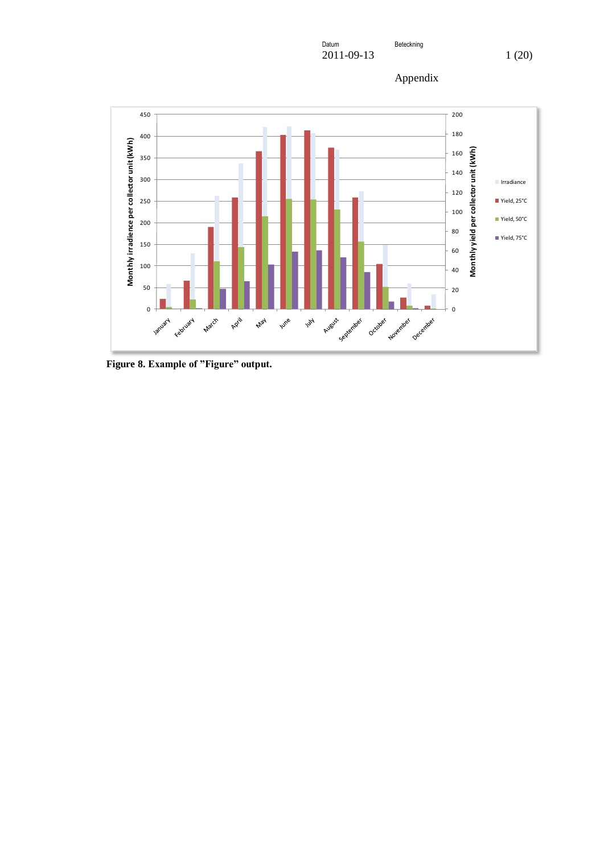Datum **Beteckning** 2011-09-13 1 (20)





**Figure 8. Example of "Figure" output.**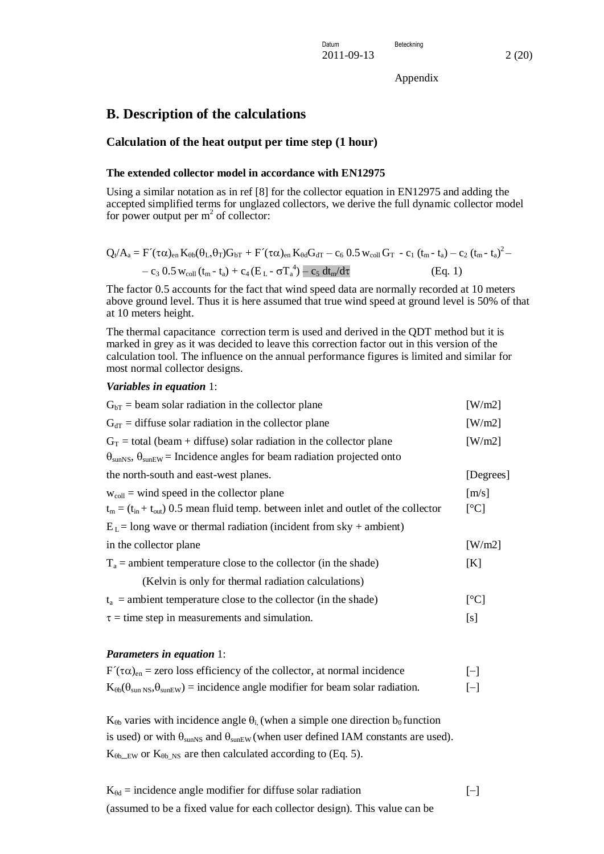### <span id="page-9-0"></span>**B. Description of the calculations**

#### <span id="page-9-1"></span>**Calculation of the heat output per time step (1 hour)**

#### **The extended collector model in accordance with EN12975**

Using a similar notation as in ref [8] for the collector equation in EN12975 and adding the accepted simplified terms for unglazed collectors, we derive the full dynamic collector model for power output per  $m^2$  of collector:

$$
\begin{aligned} Q_t/A_a & = F'(\tau\alpha)_{en}\, K_{\theta b}(\theta_L,\theta_T) G_{bT} + F'(\tau\alpha)_{en}\, K_{\theta d}G_{dT} - c_6\, 0.5\, w_{coll}\, G_T - c_1\,\left(t_m-t_a\right) - c_2\,\left(t_m-t_a\right)^2 - \\ & - c_3\,\, 0.5\, w_{coll}\, \left(t_m-t_a\right) + c_4\, \left(E_L-\sigma T_a^{\;4}\right) - c_5\, \, dt_m/d\tau \end{aligned} \quad \ \begin{aligned} \text{(Eq. 1)} \end{aligned}
$$

The factor 0.5 accounts for the fact that wind speed data are normally recorded at 10 meters above ground level. Thus it is here assumed that true wind speed at ground level is 50% of that at 10 meters height.

The thermal capacitance correction term is used and derived in the QDT method but it is marked in grey as it was decided to leave this correction factor out in this version of the calculation tool. The influence on the annual performance figures is limited and similar for most normal collector designs.

#### *Variables in equation* 1:

| $GbT$ = beam solar radiation in the collector plane                                                                                                                          | [W/m2]                    |
|------------------------------------------------------------------------------------------------------------------------------------------------------------------------------|---------------------------|
| $G_{dT}$ = diffuse solar radiation in the collector plane                                                                                                                    | [W/m2]                    |
| $G_T$ = total (beam + diffuse) solar radiation in the collector plane<br>$\theta_{\text{sunNS}}, \theta_{\text{sunEW}}$ = Incidence angles for beam radiation projected onto | [W/m2]                    |
| the north-south and east-west planes.                                                                                                                                        | [Degrees]                 |
| $w_{\text{coll}}$ = wind speed in the collector plane                                                                                                                        | [m/s]                     |
| $t_m = (t_{in} + t_{out})$ 0.5 mean fluid temp. between inlet and outlet of the collector                                                                                    | $\lceil{^{\circ}C}\rceil$ |
| $EL$ = long wave or thermal radiation (incident from sky + ambient)                                                                                                          |                           |
| in the collector plane                                                                                                                                                       | [W/m2]                    |
| $T_a$ = ambient temperature close to the collector (in the shade)                                                                                                            | [K]                       |
| (Kelvin is only for thermal radiation calculations)                                                                                                                          |                           |
| $t_a$ = ambient temperature close to the collector (in the shade)                                                                                                            | $\lceil{^{\circ}C}\rceil$ |
| $\tau$ = time step in measurements and simulation.                                                                                                                           | [s]                       |

#### *Parameters in equation* 1:

| $F'(\tau\alpha)_{en}$ = zero loss efficiency of the collector, at normal incidence                                 | $[-]$ |
|--------------------------------------------------------------------------------------------------------------------|-------|
| $K_{\theta b}(\theta_{\text{sun NS}}, \theta_{\text{sunEW}})$ = incidence angle modifier for beam solar radiation. | $[-]$ |

 $K_{\theta b}$  varies with incidence angle  $\theta_i$ , (when a simple one direction  $b_0$  function is used) or with  $\theta_{\text{sunNS}}$  and  $\theta_{\text{sunEW}}$  (when user defined IAM constants are used).  $K_{\theta b,EW}$  or  $K_{\theta b,NS}$  are then calculated according to (Eq. 5).

 $K_{\theta d}$  = incidence angle modifier for diffuse solar radiation  $[-]$ (assumed to be a fixed value for each collector design). This value can be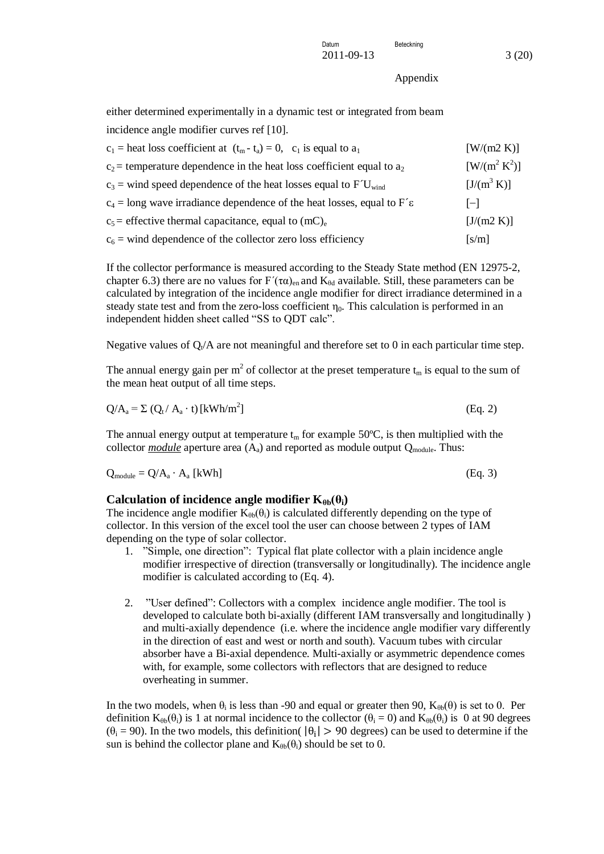either determined experimentally in a dynamic test or integrated from beam incidence angle modifier curves ref [10].

| $c_1$ = heat loss coefficient at $(t_m - t_a) = 0$ , $c_1$ is equal to $a_1$                      | [ W/(m2 K) ]        |
|---------------------------------------------------------------------------------------------------|---------------------|
| $c_2$ = temperature dependence in the heat loss coefficient equal to $a_2$                        | $[ W / (m^2 K^2) ]$ |
| $c_3$ = wind speed dependence of the heat losses equal to $\text{F}^{\text{t}}$ U <sub>wind</sub> | $[J/(m^3 K)]$       |
| $c_4$ = long wave irradiance dependence of the heat losses, equal to F' $\epsilon$                | $ - $               |
| $c_5$ = effective thermal capacitance, equal to (mC) <sub>e</sub>                                 | [J/(m2 K)]          |
| $c_6$ = wind dependence of the collector zero loss efficiency                                     | [s/m]               |

If the collector performance is measured according to the Steady State method (EN 12975-2, chapter 6.3) there are no values for  $F'(\tau \alpha)_{en}$  and  $K_{\theta d}$  available. Still, these parameters can be calculated by integration of the incidence angle modifier for direct irradiance determined in a steady state test and from the zero-loss coefficient  $\eta_0$ . This calculation is performed in an independent hidden sheet called "SS to QDT calc".

Negative values of  $Q_t/A$  are not meaningful and therefore set to 0 in each particular time step.

The annual energy gain per m<sup>2</sup> of collector at the preset temperature  $t_m$  is equal to the sum of the mean heat output of all time steps.

$$
Q/A_a = \Sigma (Q_t / A_a \cdot t) \left[ kWh/m^2 \right]
$$
 (Eq. 2)

The annual energy output at temperature  $t_m$  for example 50 $\degree$ C, is then multiplied with the collector *module* aperture area  $(A_a)$  and reported as module output  $Q_{module}$ . Thus:

$$
Q_{\text{module}} = Q/A_a \cdot A_a \text{ [kWh]} \tag{Eq. 3}
$$

#### <span id="page-10-0"></span>**Calculation of incidence angle modifier**  $K_{\theta b}(\theta_i)$

The incidence angle modifier  $K_{\theta b}(\theta_i)$  is calculated differently depending on the type of collector. In this version of the excel tool the user can choose between 2 types of IAM depending on the type of solar collector.

- 1. "Simple, one direction": Typical flat plate collector with a plain incidence angle modifier irrespective of direction (transversally or longitudinally). The incidence angle modifier is calculated according to (Eq. 4).
- 2. "User defined": Collectors with a complex incidence angle modifier. The tool is developed to calculate both bi-axially (different IAM transversally and longitudinally ) and multi-axially dependence (i.e. where the incidence angle modifier vary differently in the direction of east and west or north and south). Vacuum tubes with circular absorber have a Bi-axial dependence. Multi-axially or asymmetric dependence comes with, for example, some collectors with reflectors that are designed to reduce overheating in summer.

In the two models, when  $\theta_i$  is less than -90 and equal or greater then 90,  $K_{\theta h}(\theta)$  is set to 0. Per definition  $K_{\theta b}(\theta_i)$  is 1 at normal incidence to the collector  $(\theta_i = 0)$  and  $K_{\theta b}(\theta_i)$  is 0 at 90 degrees  $(\theta_i = 90)$ . In the two models, this definition(  $|\theta_i| > 90$  degrees) can be used to determine if the sun is behind the collector plane and  $K_{\theta b}(\theta_i)$  should be set to 0.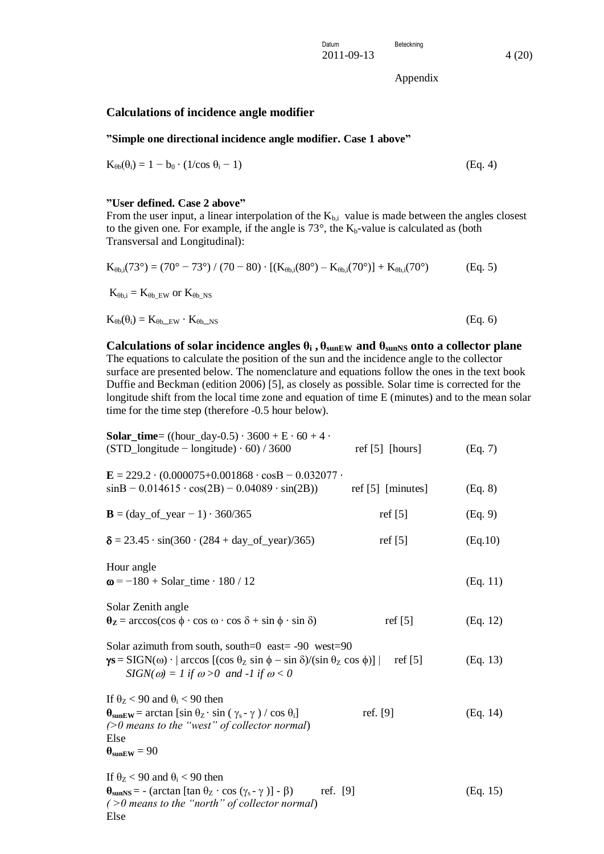### <span id="page-11-0"></span>**Calculations of incidence angle modifier**

#### <span id="page-11-1"></span>**"Simple one directional incidence angle modifier. Case 1 above"**

$$
K_{\theta b}(\theta_i) = 1 - b_0 \cdot (1/\cos \theta_i - 1) \tag{Eq. 4}
$$

#### <span id="page-11-2"></span>**"User defined. Case 2 above"**

From the user input, a linear interpolation of the  $K_{b,i}$  value is made between the angles closest to the given one. For example, if the angle is  $73^\circ$ , the  $K_b$ -value is calculated as (both Transversal and Longitudinal):

$$
K_{\theta b,i}(73^\circ) = (70^\circ - 73^\circ) / (70 - 80) \cdot [(K_{\theta b,i}(80^\circ) - K_{\theta b,i}(70^\circ)] + K_{\theta b,i}(70^\circ)
$$
 (Eq. 5)

 $K_{\theta b,i} = K_{\theta b\_EW}$  or  $K_{\theta b\_NS}$ 

 $K_{\theta b}(\theta_i) = K_{\theta b\_EW} \cdot K_{\theta b\_NS}$  (Eq. 6)

<span id="page-11-3"></span>**Calculations of solar incidence angles**  $\theta_i$ ,  $\theta_{\text{sunEW}}$  and  $\theta_{\text{sunNS}}$  onto a collector plane The equations to calculate the position of the sun and the incidence angle to the collector surface are presented below. The nomenclature and equations follow the ones in the text book Duffie and Beckman (edition 2006) [5], as closely as possible. Solar time is corrected for the longitude shift from the local time zone and equation of time E (minutes) and to the mean solar time for the time step (therefore -0.5 hour below).

| <b>Solar_time</b> = $((hour\_day-0.5) \cdot 3600 + E \cdot 60 + 4 \cdot$<br>$(STD_{\text{longitude}} - \text{longitude}) \cdot 60$ / 3600                                                                                                                                                          | ref $[5]$ [hours]   | (Eq. 7)  |
|----------------------------------------------------------------------------------------------------------------------------------------------------------------------------------------------------------------------------------------------------------------------------------------------------|---------------------|----------|
| $E = 229.2 \cdot (0.000075 + 0.001868 \cdot \cos B - 0.032077 \cdot$<br>$sinB - 0.014615 \cdot cos(2B) - 0.04089 \cdot sin(2B))$                                                                                                                                                                   | ref $[5]$ [minutes] | (Eq. 8)  |
| $B = (day_of_year - 1) \cdot 360/365$                                                                                                                                                                                                                                                              | ref $[5]$           | (Eq. 9)  |
| $\delta = 23.45 \cdot \sin(360 \cdot (284 + day_of\_year)/365)$                                                                                                                                                                                                                                    | ref $[5]$           | (Eq.10)  |
| Hour angle<br>$\omega = -180 + Solar_time \cdot 180 / 12$                                                                                                                                                                                                                                          |                     | (Eq. 11) |
| Solar Zenith angle<br>$\theta_{\mathbf{Z}} = \arccos(\cos \phi \cdot \cos \omega \cdot \cos \delta + \sin \phi \cdot \sin \delta)$                                                                                                                                                                 | ref $[5]$           | (Eq. 12) |
| Solar azimuth from south, south=0 east= $-90$ west= $90$<br>$\gamma s = SIGN(\omega) \cdot  \arccos[(\cos \theta_z \sin \phi - \sin \delta)/(\sin \theta_z \cos \phi)] $<br>ref $[5]$<br>$SIGN(\omega) = 1$ if $\omega > 0$ and -1 if $\omega < 0$                                                 |                     |          |
| If $\theta$ <sub>Z</sub> < 90 and $\theta$ <sub>i</sub> < 90 then<br>$\theta_{\text{sunEW}}$ = arctan [sin $\theta_{\text{Z}} \cdot$ sin ( $\gamma_{\text{s}}$ - $\gamma$ ) / cos $\theta_{\text{i}}$ ]<br>$($ >0 means to the "west" of collector normal)<br>Else<br>$\theta_{\text{sunEW}} = 90$ | ref. [9]            | (Eq. 14) |
| If $\theta$ <sub>z</sub> < 90 and $\theta$ <sub>i</sub> < 90 then<br>$\theta_{\text{sunNS}}$ = - (arctan [tan $\theta_{\text{Z}} \cdot \cos (\gamma_{\text{s}} - \gamma)$ ] - $\beta$ )<br>ref. [9]<br>$($ >0 means to the "north" of collector normal)                                            |                     | (Eq. 15) |

Else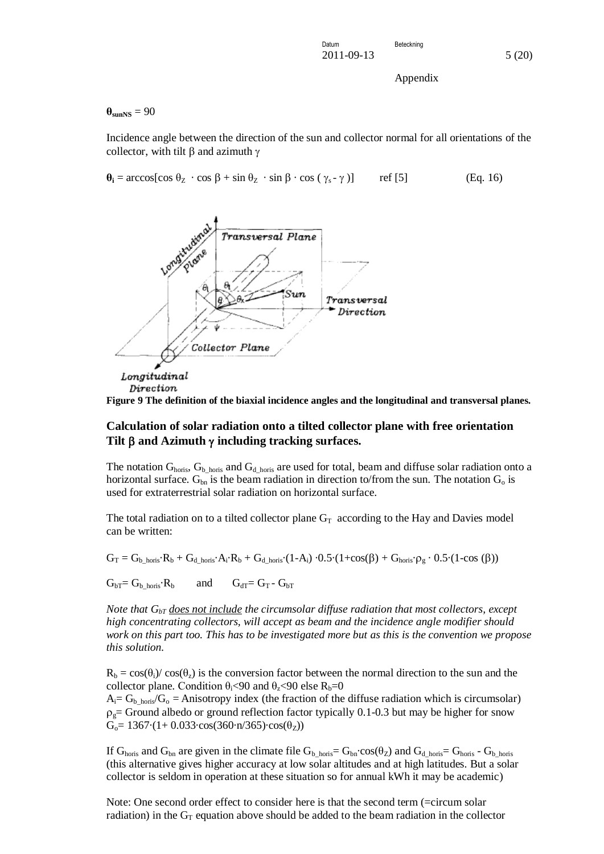$\theta_{\text{sunNS}} = 90$ 

Incidence angle between the direction of the sun and collector normal for all orientations of the collector, with tilt  $\beta$  and azimuth  $\gamma$ 

 $\theta$ **i** = arccos[cos  $\theta$ <sub>Z</sub> · cos  $\beta$  + sin  $\theta$ <sub>Z</sub> · sin  $\beta$  · cos ( $\gamma$ <sub>s</sub> -  $\gamma$ )] ref [5] (Eq. 16)



**Figure 9 The definition of the biaxial incidence angles and the longitudinal and transversal planes.**

#### <span id="page-12-0"></span>**Calculation of solar radiation onto a tilted collector plane with free orientation**  Tilt **B** and Azimuth  $\gamma$  including tracking surfaces.

The notation  $G_{\text{horis}}$ ,  $G_{\text{b\_horis}}$  and  $G_{\text{d\_horis}}$  are used for total, beam and diffuse solar radiation onto a horizontal surface.  $G_{bn}$  is the beam radiation in direction to/from the sun. The notation  $G_0$  is used for extraterrestrial solar radiation on horizontal surface.

The total radiation on to a tilted collector plane  $G_T$  according to the Hay and Davies model can be written:

 $G_T = G_{b\_horis} \cdot R_b + G_{d\_horis} \cdot A_i \cdot R_b + G_{d\_horis} \cdot (1 - A_i) \cdot 0.5 \cdot (1 + \cos(\beta) + G_{horis} \cdot \rho_g \cdot 0.5 \cdot (1 - \cos(\beta))$ 

 $G_{bT} = G_b$ <sub>horis</sub>· $R_b$  and  $G_{dT} = G_T - G_{bT}$ 

*Note that*  $G_{bT}$  *does not include the circumsolar diffuse radiation that most collectors, except high concentrating collectors, will accept as beam and the incidence angle modifier should work on this part too. This has to be investigated more but as this is the convention we propose this solution.*

 $R_b = cos(\theta_i)/cos(\theta_i)$  is the conversion factor between the normal direction to the sun and the collector plane. Condition  $\theta_i$ <90 and  $\theta_z$ <90 else R<sub>b</sub>=0

 $A_i = G_{b\_horis}/G_0 =$  Anisotropy index (the fraction of the diffuse radiation which is circumsolar)  $\rho_{g}=$  Ground albedo or ground reflection factor typically 0.1-0.3 but may be higher for snow  $G_0$ = 1367·(1+ 0.033·cos(360·n/365)·cos( $\theta$ <sub>Z</sub>))

If  $G_{\text{horis}}$  and  $G_{\text{bn}}$  are given in the climate file  $G_{\text{b\_horis}} = G_{\text{bn}} \cdot \cos(\theta_Z)$  and  $G_{\text{d\_horis}} = G_{\text{horis}} - G_{\text{b\_horis}}$ (this alternative gives higher accuracy at low solar altitudes and at high latitudes. But a solar collector is seldom in operation at these situation so for annual kWh it may be academic)

Note: One second order effect to consider here is that the second term (=circum solar radiation) in the  $G_T$  equation above should be added to the beam radiation in the collector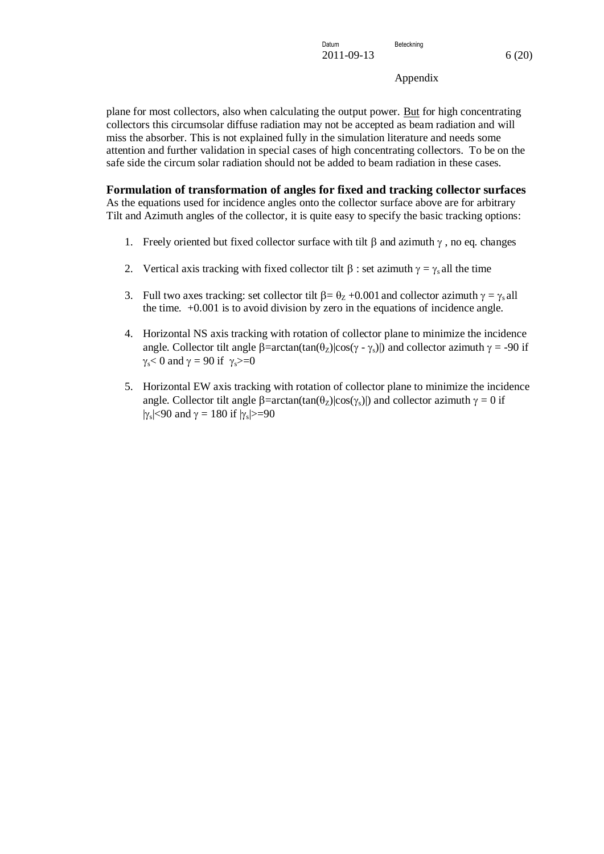plane for most collectors, also when calculating the output power. But for high concentrating collectors this circumsolar diffuse radiation may not be accepted as beam radiation and will miss the absorber. This is not explained fully in the simulation literature and needs some attention and further validation in special cases of high concentrating collectors. To be on the safe side the circum solar radiation should not be added to beam radiation in these cases.

<span id="page-13-0"></span>**Formulation of transformation of angles for fixed and tracking collector surfaces** As the equations used for incidence angles onto the collector surface above are for arbitrary Tilt and Azimuth angles of the collector, it is quite easy to specify the basic tracking options:

- 1. Freely oriented but fixed collector surface with tilt  $\beta$  and azimuth  $\gamma$ , no eq. changes
- 2. Vertical axis tracking with fixed collector tilt  $\beta$ : set azimuth  $\gamma = \gamma_s$  all the time
- 3. Full two axes tracking: set collector tilt  $\beta = \theta_Z + 0.001$  and collector azimuth  $\gamma = \gamma_s$  all the time. +0.001 is to avoid division by zero in the equations of incidence angle.
- 4. Horizontal NS axis tracking with rotation of collector plane to minimize the incidence angle. Collector tilt angle  $\beta$ =arctan(tan( $\theta$ z)|cos( $\gamma$  -  $\gamma$ s)|) and collector azimuth  $\gamma$  = -90 if  $\gamma_s$ < 0 and  $\gamma = 90$  if  $\gamma_s$ >=0
- 5. Horizontal EW axis tracking with rotation of collector plane to minimize the incidence angle. Collector tilt angle  $\beta$ =arctan(tan( $\theta$ <sub>Z</sub>)|cos( $\gamma$ <sub>s</sub>)|) and collector azimuth  $\gamma = 0$  if  $|\gamma_{\rm s}|$ <90 and  $\gamma = 180$  if  $|\gamma_{\rm s}|$ >=90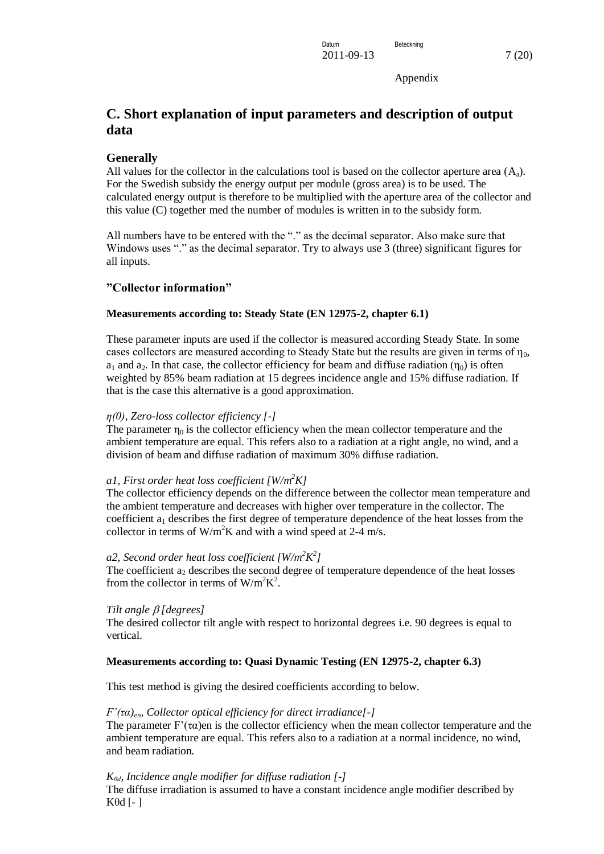# <span id="page-14-0"></span>**C. Short explanation of input parameters and description of output data**

### <span id="page-14-1"></span>**Generally**

All values for the collector in the calculations tool is based on the collector aperture area  $(A<sub>a</sub>)$ . For the Swedish subsidy the energy output per module (gross area) is to be used. The calculated energy output is therefore to be multiplied with the aperture area of the collector and this value (C) together med the number of modules is written in to the subsidy form.

All numbers have to be entered with the "." as the decimal separator. Also make sure that Windows uses "." as the decimal separator. Try to always use 3 (three) significant figures for all inputs.

### <span id="page-14-2"></span>**"Collector information"**

### <span id="page-14-3"></span>**Measurements according to: Steady State (EN 12975-2, chapter 6.1)**

These parameter inputs are used if the collector is measured according Steady State. In some cases collectors are measured according to Steady State but the results are given in terms of  $n_0$ ,  $a_1$  and  $a_2$ . In that case, the collector efficiency for beam and diffuse radiation  $(\eta_0)$  is often weighted by 85% beam radiation at 15 degrees incidence angle and 15% diffuse radiation. If that is the case this alternative is a good approximation.

### *η(0), Zero-loss collector efficiency [-]*

The parameter  $\eta_0$  is the collector efficiency when the mean collector temperature and the ambient temperature are equal. This refers also to a radiation at a right angle, no wind, and a division of beam and diffuse radiation of maximum 30% diffuse radiation.

### *a1, First order heat loss coefficient [W/m<sup>2</sup>K]*

The collector efficiency depends on the difference between the collector mean temperature and the ambient temperature and decreases with higher over temperature in the collector. The coefficient  $a_1$  describes the first degree of temperature dependence of the heat losses from the collector in terms of  $W/m^2K$  and with a wind speed at 2-4 m/s.

### *a2, Second order heat loss coefficient [W/m<sup>2</sup>K 2 ]*

The coefficient  $a_2$  describes the second degree of temperature dependence of the heat losses from the collector in terms of  $W/m^2K^2$ .

### *Tilt angle [degrees]*

The desired collector tilt angle with respect to horizontal degrees i.e. 90 degrees is equal to vertical.

### <span id="page-14-4"></span>**Measurements according to: Quasi Dynamic Testing (EN 12975-2, chapter 6.3)**

This test method is giving the desired coefficients according to below.

### *F'(τα)en, Collector optical efficiency for direct irradiance[-]*

The parameter  $F'(\tau\alpha)$ en is the collector efficiency when the mean collector temperature and the ambient temperature are equal. This refers also to a radiation at a normal incidence, no wind, and beam radiation.

### *Kθd, Incidence angle modifier for diffuse radiation [-]*

The diffuse irradiation is assumed to have a constant incidence angle modifier described by Kθd [- ]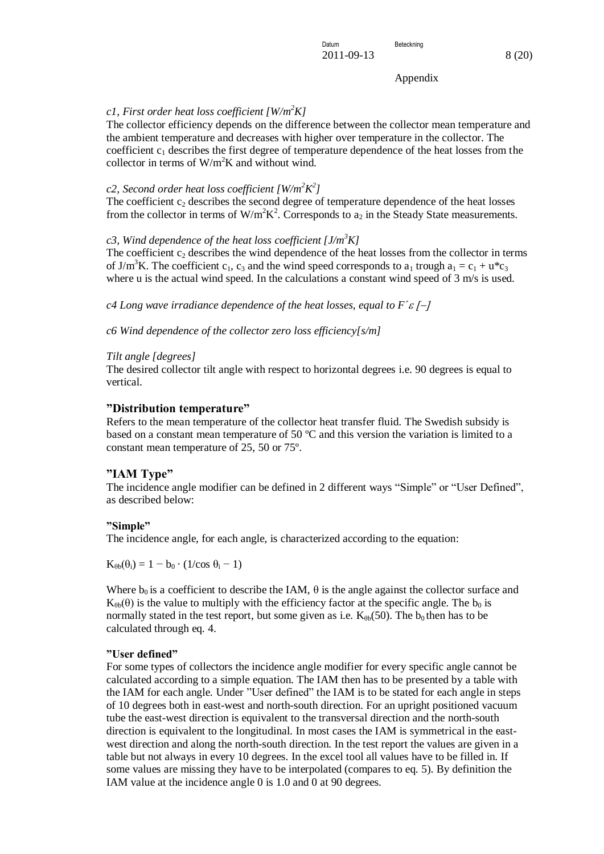### *c1, First order heat loss coefficient [W/m<sup>2</sup>K]*

The collector efficiency depends on the difference between the collector mean temperature and the ambient temperature and decreases with higher over temperature in the collector. The coefficient  $c_1$  describes the first degree of temperature dependence of the heat losses from the collector in terms of  $W/m^2K$  and without wind.

### *c2, Second order heat loss coefficient [W/m<sup>2</sup>K 2 ]*

The coefficient  $c_2$  describes the second degree of temperature dependence of the heat losses from the collector in terms of W/m<sup>2</sup>K<sup>2</sup>. Corresponds to  $a_2$  in the Steady State measurements.

#### *c3, Wind dependence of the heat loss coefficient [J/m<sup>3</sup>K]*

The coefficient  $c_2$  describes the wind dependence of the heat losses from the collector in terms of J/m<sup>3</sup>K. The coefficient c<sub>1</sub>, c<sub>3</sub> and the wind speed corresponds to a<sub>1</sub> trough a<sub>1</sub> = c<sub>1</sub> + u<sup>\*</sup>c<sub>3</sub> where u is the actual wind speed. In the calculations a constant wind speed of  $3 \text{ m/s}$  is used.

*c4 Long wave irradiance dependence of the heat losses, equal to F´*

*c6 Wind dependence of the collector zero loss efficiency[s/m]*

### *Tilt angle [degrees]*

The desired collector tilt angle with respect to horizontal degrees i.e. 90 degrees is equal to vertical.

### <span id="page-15-0"></span>**"Distribution temperature"**

Refers to the mean temperature of the collector heat transfer fluid. The Swedish subsidy is based on a constant mean temperature of 50 ºC and this version the variation is limited to a constant mean temperature of 25, 50 or 75º.

### <span id="page-15-1"></span>**"IAM Type"**

The incidence angle modifier can be defined in 2 different ways "Simple" or "User Defined", as described below:

#### <span id="page-15-2"></span>**"Simple"**

The incidence angle, for each angle, is characterized according to the equation:

 $K_{\theta b}(\theta_i) = 1 - b_0 \cdot (1/\cos \theta_i - 1)$ 

Where  $b_0$  is a coefficient to describe the IAM,  $\theta$  is the angle against the collector surface and  $K_{\theta b}(\theta)$  is the value to multiply with the efficiency factor at the specific angle. The  $b_0$  is normally stated in the test report, but some given as i.e.  $K_{\theta b}(50)$ . The  $b_0$  then has to be calculated through eq. 4.

#### <span id="page-15-3"></span>**"User defined"**

For some types of collectors the incidence angle modifier for every specific angle cannot be calculated according to a simple equation. The IAM then has to be presented by a table with the IAM for each angle. Under "User defined" the IAM is to be stated for each angle in steps of 10 degrees both in east-west and north-south direction. For an upright positioned vacuum tube the east-west direction is equivalent to the transversal direction and the north-south direction is equivalent to the longitudinal. In most cases the IAM is symmetrical in the eastwest direction and along the north-south direction. In the test report the values are given in a table but not always in every 10 degrees. In the excel tool all values have to be filled in. If some values are missing they have to be interpolated (compares to eq. 5). By definition the IAM value at the incidence angle 0 is 1.0 and 0 at 90 degrees.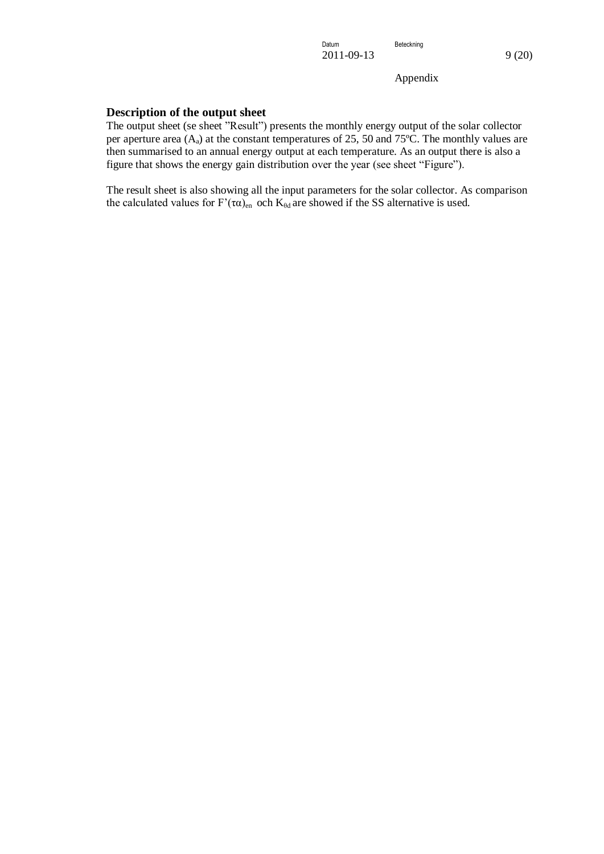### <span id="page-16-0"></span>**Description of the output sheet**

The output sheet (se sheet "Result") presents the monthly energy output of the solar collector per aperture area  $(A_4)$  at the constant temperatures of 25, 50 and 75 $\degree$ C. The monthly values are then summarised to an annual energy output at each temperature. As an output there is also a figure that shows the energy gain distribution over the year (see sheet "Figure").

The result sheet is also showing all the input parameters for the solar collector. As comparison the calculated values for  $F'(\tau \alpha)_{en}$  och  $K_{\theta d}$  are showed if the SS alternative is used.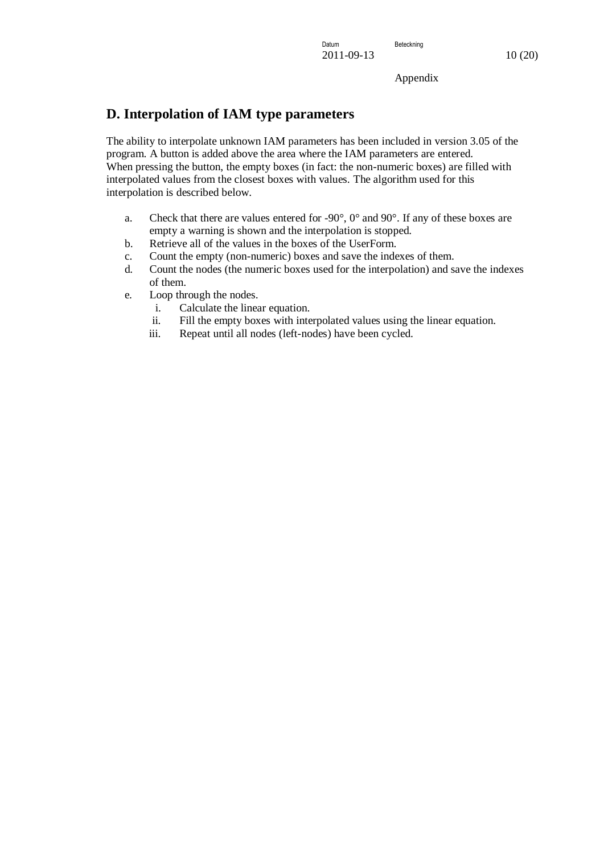## <span id="page-17-0"></span>**D. Interpolation of IAM type parameters**

The ability to interpolate unknown IAM parameters has been included in version 3.05 of the program. A button is added above the area where the IAM parameters are entered. When pressing the button, the empty boxes (in fact: the non-numeric boxes) are filled with interpolated values from the closest boxes with values. The algorithm used for this interpolation is described below.

- a. Check that there are values entered for -90°, 0° and 90°. If any of these boxes are empty a warning is shown and the interpolation is stopped.
- b. Retrieve all of the values in the boxes of the UserForm.
- c. Count the empty (non-numeric) boxes and save the indexes of them.
- d. Count the nodes (the numeric boxes used for the interpolation) and save the indexes of them.
- e. Loop through the nodes.
	- i. Calculate the linear equation.
	- ii. Fill the empty boxes with interpolated values using the linear equation.
	- iii. Repeat until all nodes (left-nodes) have been cycled.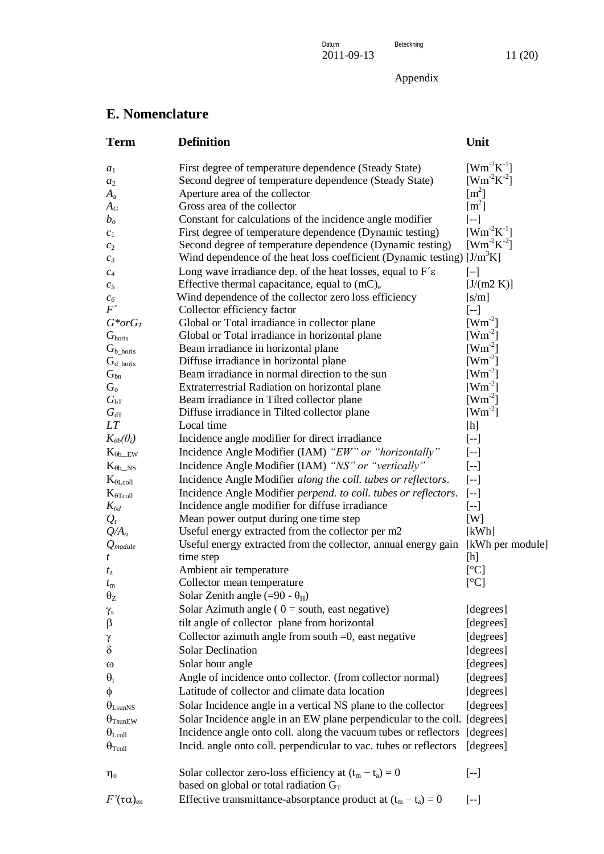Datum **Beteckning** 2011-09-13 11 (20)

Appendix

# <span id="page-18-0"></span>**E. Nomenclature**

| <b>Term</b>                  | <b>Definition</b>                                                                                     | Unit                     |
|------------------------------|-------------------------------------------------------------------------------------------------------|--------------------------|
| $a_1$                        | First degree of temperature dependence (Steady State)                                                 | $[Wm^2K^1]$              |
| $a_2$                        | Second degree of temperature dependence (Steady State)                                                | $[Wm^2K^2]$              |
| $A_{\rm a}$                  | Aperture area of the collector                                                                        | $\rm [m^2]$              |
| $A_G$                        | Gross area of the collector                                                                           | $\rm [m^2]$              |
| $b_o$                        | Constant for calculations of the incidence angle modifier                                             | $[-1]$                   |
| $c_1$                        | First degree of temperature dependence (Dynamic testing)                                              | $[Wm^2K^{-1}]$           |
| $c_2$                        | Second degree of temperature dependence (Dynamic testing)                                             | $[Wm^2K^2]$              |
| $c_3$                        | Wind dependence of the heat loss coefficient (Dynamic testing) [J/m <sup>3</sup> K]                   |                          |
| $c_4$                        | Long wave irradiance dep. of the heat losses, equal to $F\hat{\epsilon}$                              | $[-]$                    |
| $c_5$                        | Effective thermal capacitance, equal to $(mC)e$                                                       | [J/(m2 K)]               |
| $c_6$                        | Wind dependence of the collector zero loss efficiency                                                 | [s/m]                    |
| $F^{\prime}$                 | Collector efficiency factor                                                                           | $[-]$                    |
| $G^*$ or $G_T$               | Global or Total irradiance in collector plane                                                         | $[Wm^2]$                 |
| G <sub>horis</sub>           | Global or Total irradiance in horizontal plane                                                        | $[Wm^{-2}]$              |
| $G_{b\_horis}$               | Beam irradiance in horizontal plane                                                                   | $[Wm^2]$                 |
| $G_{d\_horis}$               | Diffuse irradiance in horizontal plane                                                                | $[Wm^2]$                 |
| $G_{bn}$                     | Beam irradiance in normal direction to the sun                                                        | $[Wm^{-2}]$              |
| $G_{\rm o}$                  | Extraterrestrial Radiation on horizontal plane                                                        | $[Wm^{-2}]$<br>$[Wm^2]$  |
| $G_{\text{bT}}$              | Beam irradiance in Tilted collector plane                                                             | $[Wm^2]$                 |
| $G_{\rm dT}$<br>LT           | Diffuse irradiance in Tilted collector plane<br>Local time                                            | [h]                      |
| $K_{\theta b}(\theta_i)$     | Incidence angle modifier for direct irradiance                                                        | $\left[ -\right]$        |
| $K_{\theta b,EW}$            | Incidence Angle Modifier (IAM) "EW" or "horizontally"                                                 | $\left[ -\right]$        |
|                              | Incidence Angle Modifier (IAM) "NS" or "vertically"                                                   | $[-1]$                   |
| $K_{\theta b \_NS}$          |                                                                                                       |                          |
| $K_{\theta$ Lcoll            | Incidence Angle Modifier along the coll. tubes or reflectors.                                         | $[--]$                   |
| $K_{\theta \text{Tcoll}}$    | Incidence Angle Modifier perpend. to coll. tubes or reflectors.                                       | $[-]$                    |
| $K_{\theta d}$               | Incidence angle modifier for diffuse irradiance                                                       | $\left[ -\right]$<br>[W] |
| $Q_t$<br>$Q/A_a$             | Mean power output during one time step<br>Useful energy extracted from the collector per m2           | [kWh]                    |
| $Q_{module}$                 | Useful energy extracted from the collector, annual energy gain [kWh per module]                       |                          |
| t                            | time step                                                                                             | [h]                      |
| $t_{\rm a}$                  | Ambient air temperature                                                                               | [°C]                     |
| $t_{\rm m}$                  | Collector mean temperature                                                                            | [°C]                     |
| $\theta_{Z}$                 | Solar Zenith angle (=90 - $\theta_H$ )                                                                |                          |
| $\gamma_{\rm s}$             | Solar Azimuth angle ( $0 =$ south, east negative)                                                     | [degrees]                |
| β                            | tilt angle of collector plane from horizontal                                                         | [degrees]                |
| γ                            | Collector azimuth angle from south $=0$ , east negative                                               | [degrees]                |
| δ                            | <b>Solar Declination</b>                                                                              | [degrees]                |
|                              | Solar hour angle                                                                                      | [degrees]                |
| $\omega$                     | Angle of incidence onto collector. (from collector normal)                                            | [degrees]                |
| $\theta_i$                   | Latitude of collector and climate data location                                                       |                          |
| φ                            |                                                                                                       | [degrees]                |
| $\theta_{\text{LsunNS}}$     | Solar Incidence angle in a vertical NS plane to the collector                                         | [degrees]                |
| $\theta$ <sub>Tsun</sub> EW  | Solar Incidence angle in an EW plane perpendicular to the coll. [degrees]                             |                          |
| $\theta_{\mathrm{L}$ coll    | Incidence angle onto coll. along the vacuum tubes or reflectors                                       | [degrees]                |
| $\Theta_{\text{Tcoll}}$      | Incid. angle onto coll. perpendicular to vac. tubes or reflectors                                     | [degrees]                |
| $\eta_{\rm o}$               | Solar collector zero-loss efficiency at $(t_m - t_a) = 0$<br>based on global or total radiation $G_T$ | $\left[ -1\right]$       |
| $F'(\tau\alpha)_{\text{en}}$ | Effective transmittance-absorptance product at $(t_m - t_a) = 0$                                      | $\left[ -1 \right]$      |